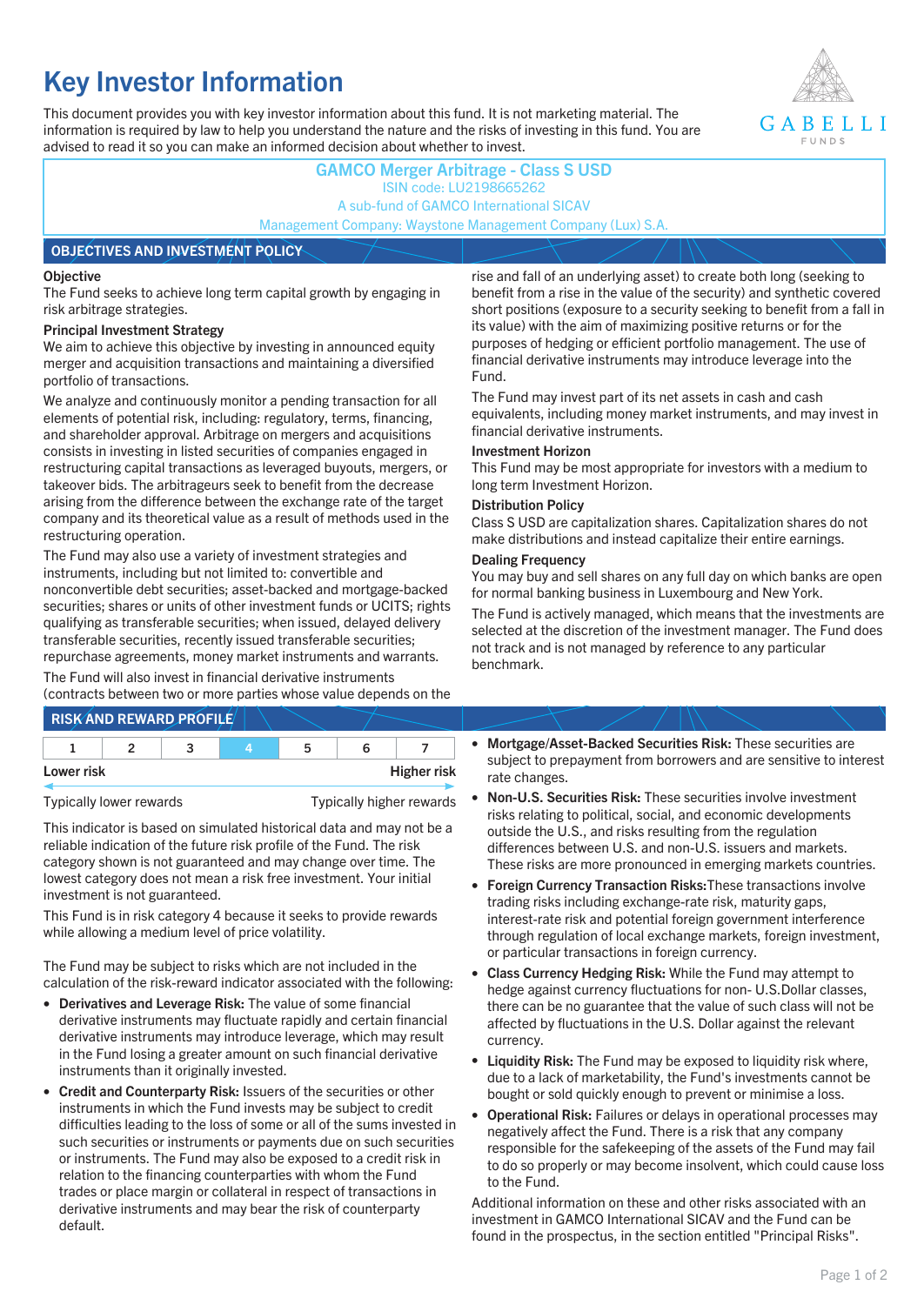# **Key Investor Information**

This document provides you with key investor information about this fund. It is not marketing material. The information is required by law to help you understand the nature and the risks of investing in this fund. You are advised to read it so you can make an informed decision about whether to invest.



# **GAMCO Merger Arbitrage - Class S USD** ISIN code: LU2198665262 A sub-fund of GAMCO International SICAV Management Company: Waystone Management Company (Lux) S.A.

### **OBJECTIVES AND INVESTMENT POLICY**

### **Objective**

The Fund seeks to achieve long term capital growth by engaging in risk arbitrage strategies.

### **Principal Investment Strategy**

We aim to achieve this objective by investing in announced equity merger and acquisition transactions and maintaining a diversified portfolio of transactions.

We analyze and continuously monitor a pending transaction for all elements of potential risk, including: regulatory, terms, financing, and shareholder approval. Arbitrage on mergers and acquisitions consists in investing in listed securities of companies engaged in restructuring capital transactions as leveraged buyouts, mergers, or takeover bids. The arbitrageurs seek to benefit from the decrease arising from the difference between the exchange rate of the target company and its theoretical value as a result of methods used in the restructuring operation.

The Fund may also use a variety of investment strategies and instruments, including but not limited to: convertible and nonconvertible debt securities; asset-backed and mortgage-backed securities; shares or units of other investment funds or UCITS; rights qualifying as transferable securities; when issued, delayed delivery transferable securities, recently issued transferable securities; repurchase agreements, money market instruments and warrants.

The Fund will also invest in financial derivative instruments (contracts between two or more parties whose value depends on the

|            | <b>RISK AND REWARD PROFILE</b> |    |                    |
|------------|--------------------------------|----|--------------------|
|            |                                | 'n |                    |
| Lower risk |                                |    | <b>Higher risk</b> |

Typically lower rewards Typically higher rewards

This indicator is based on simulated historical data and may not be a reliable indication of the future risk profile of the Fund. The risk category shown is not guaranteed and may change over time. The lowest category does not mean a risk free investment. Your initial investment is not guaranteed.

This Fund is in risk category 4 because it seeks to provide rewards while allowing a medium level of price volatility.

The Fund may be subject to risks which are not included in the calculation of the risk-reward indicator associated with the following:

- **Derivatives and Leverage Risk:** The value of some financial derivative instruments may fluctuate rapidly and certain financial derivative instruments may introduce leverage, which may result in the Fund losing a greater amount on such financial derivative instruments than it originally invested.
- **Credit and Counterparty Risk:** Issuers of the securities or other instruments in which the Fund invests may be subject to credit difficulties leading to the loss of some or all of the sums invested in such securities or instruments or payments due on such securities or instruments. The Fund may also be exposed to a credit risk in relation to the financing counterparties with whom the Fund trades or place margin or collateral in respect of transactions in derivative instruments and may bear the risk of counterparty default.

rise and fall of an underlying asset) to create both long (seeking to benefit from a rise in the value of the security) and synthetic covered short positions (exposure to a security seeking to benefit from a fall in its value) with the aim of maximizing positive returns or for the purposes of hedging or efficient portfolio management. The use of financial derivative instruments may introduce leverage into the Fund.

The Fund may invest part of its net assets in cash and cash equivalents, including money market instruments, and may invest in financial derivative instruments.

### **Investment Horizon**

This Fund may be most appropriate for investors with a medium to long term Investment Horizon.

### **Distribution Policy**

Class S USD are capitalization shares. Capitalization shares do not make distributions and instead capitalize their entire earnings.

### **Dealing Frequency**

You may buy and sell shares on any full day on which banks are open for normal banking business in Luxembourg and New York.

The Fund is actively managed, which means that the investments are selected at the discretion of the investment manager. The Fund does not track and is not managed by reference to any particular benchmark.

- **Mortgage/Asset-Backed Securities Risk:** These securities are subject to prepayment from borrowers and are sensitive to interest rate changes.
- **Non-U.S. Securities Risk:** These securities involve investment risks relating to political, social, and economic developments outside the U.S., and risks resulting from the regulation differences between U.S. and non-U.S. issuers and markets. These risks are more pronounced in emerging markets countries.
- **Foreign Currency Transaction Risks:**These transactions involve trading risks including exchange-rate risk, maturity gaps, interest-rate risk and potential foreign government interference through regulation of local exchange markets, foreign investment, or particular transactions in foreign currency.
- **Class Currency Hedging Risk:** While the Fund may attempt to hedge against currency fluctuations for non- U.S.Dollar classes, there can be no guarantee that the value of such class will not be affected by fluctuations in the U.S. Dollar against the relevant currency.
- **Liquidity Risk:** The Fund may be exposed to liquidity risk where, due to a lack of marketability, the Fund's investments cannot be bought or sold quickly enough to prevent or minimise a loss.
- **Operational Risk:** Failures or delays in operational processes may negatively affect the Fund. There is a risk that any company responsible for the safekeeping of the assets of the Fund may fail to do so properly or may become insolvent, which could cause loss to the Fund.

Additional information on these and other risks associated with an investment in GAMCO International SICAV and the Fund can be found in the prospectus, in the section entitled "Principal Risks".